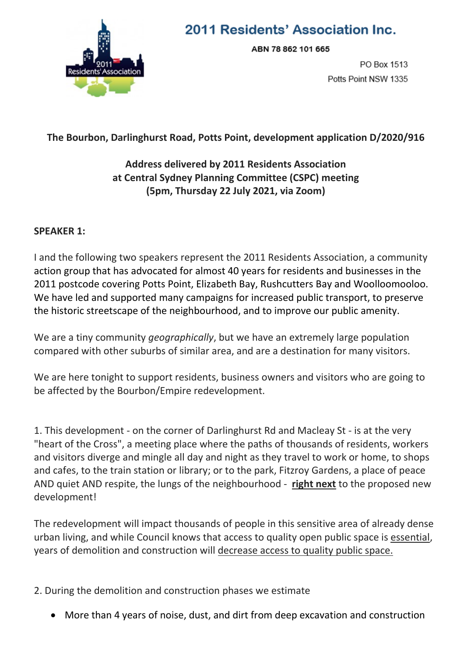

# 2011 Residents' Association Inc.

ABN 78 862 101 665

PO Box 1513 Potts Point NSW 1335

### **The Bourbon, Darlinghurst Road, Potts Point, development application D/2020/916**

## **Address delivered by 2011 Residents Association at Central Sydney Planning Committee (CSPC) meeting (5pm, Thursday 22 July 2021, via Zoom)**

#### **SPEAKER 1:**

I and the following two speakers represent the 2011 Residents Association, a community action group that has advocated for almost 40 years for residents and businesses in the 2011 postcode covering Potts Point, Elizabeth Bay, Rushcutters Bay and Woolloomooloo. We have led and supported many campaigns for increased public transport, to preserve the historic streetscape of the neighbourhood, and to improve our public amenity.

We are a tiny community *geographically*, but we have an extremely large population compared with other suburbs of similar area, and are a destination for many visitors.

We are here tonight to support residents, business owners and visitors who are going to be affected by the Bourbon/Empire redevelopment.

1. This development - on the corner of Darlinghurst Rd and Macleay St - is at the very "heart of the Cross", a meeting place where the paths of thousands of residents, workers and visitors diverge and mingle all day and night as they travel to work or home, to shops and cafes, to the train station or library; or to the park, Fitzroy Gardens, a place of peace AND quiet AND respite, the lungs of the neighbourhood - **right next** to the proposed new development!

The redevelopment will impact thousands of people in this sensitive area of already dense urban living, and while Council knows that access to quality open public space is essential, years of demolition and construction will decrease access to quality public space.

2. During the demolition and construction phases we estimate

More than 4 years of noise, dust, and dirt from deep excavation and construction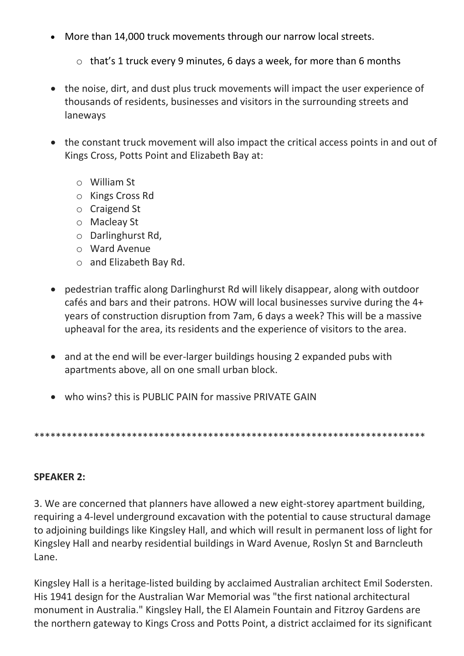- More than 14,000 truck movements through our narrow local streets.
	- $\circ$  that's 1 truck every 9 minutes, 6 days a week, for more than 6 months
- the noise, dirt, and dust plus truck movements will impact the user experience of thousands of residents, businesses and visitors in the surrounding streets and laneways
- the constant truck movement will also impact the critical access points in and out of Kings Cross, Potts Point and Elizabeth Bay at:
	- o William St
	- o Kings Cross Rd
	- o Craigend St
	- o Macleay St
	- o Darlinghurst Rd,
	- o Ward Avenue
	- o and Elizabeth Bay Rd.
- pedestrian traffic along Darlinghurst Rd will likely disappear, along with outdoor cafés and bars and their patrons. HOW will local businesses survive during the 4+ years of construction disruption from 7am, 6 days a week? This will be a massive upheaval for the area, its residents and the experience of visitors to the area.
- and at the end will be ever-larger buildings housing 2 expanded pubs with apartments above, all on one small urban block.
- who wins? this is PUBLIC PAIN for massive PRIVATE GAIN

\*\*\*\*\*\*\*\*\*\*\*\*\*\*\*\*\*\*\*\*\*\*\*\*\*\*\*\*\*\*\*\*\*\*\*\*\*\*\*\*\*\*\*\*\*\*\*\*\*\*\*\*\*\*\*\*\*\*\*\*\*\*\*\*\*\*\*\*\*\*\*\*

### **SPEAKER 2:**

3. We are concerned that planners have allowed a new eight-storey apartment building, requiring a 4-level underground excavation with the potential to cause structural damage to adjoining buildings like Kingsley Hall, and which will result in permanent loss of light for Kingsley Hall and nearby residential buildings in Ward Avenue, Roslyn St and Barncleuth Lane.

Kingsley Hall is a heritage-listed building by acclaimed Australian architect Emil Sodersten. His 1941 design for the Australian War Memorial was "the first national architectural monument in Australia." Kingsley Hall, the El Alamein Fountain and Fitzroy Gardens are the northern gateway to Kings Cross and Potts Point, a district acclaimed for its significant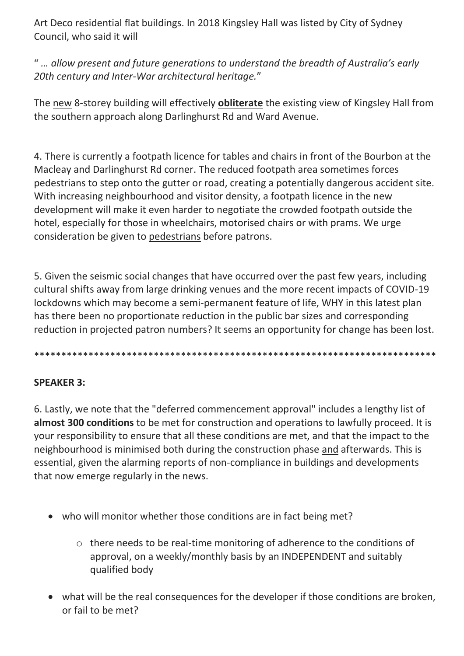Art Deco residential flat buildings. In 2018 Kingsley Hall was listed by City of Sydney Council, who said it will

" *… allow present and future generations to understand the breadth of Australia's early 20th century and Inter-War architectural heritage.*"

The new 8-storey building will effectively **obliterate** the existing view of Kingsley Hall from the southern approach along Darlinghurst Rd and Ward Avenue.

4. There is currently a footpath licence for tables and chairs in front of the Bourbon at the Macleay and Darlinghurst Rd corner. The reduced footpath area sometimes forces pedestrians to step onto the gutter or road, creating a potentially dangerous accident site. With increasing neighbourhood and visitor density, a footpath licence in the new development will make it even harder to negotiate the crowded footpath outside the hotel, especially for those in wheelchairs, motorised chairs or with prams. We urge consideration be given to pedestrians before patrons.

5. Given the seismic social changes that have occurred over the past few years, including cultural shifts away from large drinking venues and the more recent impacts of COVID-19 lockdowns which may become a semi-permanent feature of life, WHY in this latest plan has there been no proportionate reduction in the public bar sizes and corresponding reduction in projected patron numbers? It seems an opportunity for change has been lost.

\*\*\*\*\*\*\*\*\*\*\*\*\*\*\*\*\*\*\*\*\*\*\*\*\*\*\*\*\*\*\*\*\*\*\*\*\*\*\*\*\*\*\*\*\*\*\*\*\*\*\*\*\*\*\*\*\*\*\*\*\*\*\*\*\*\*\*\*\*\*\*\*\*\*

## **SPEAKER 3:**

6. Lastly, we note that the "deferred commencement approval" includes a lengthy list of **almost 300 conditions** to be met for construction and operations to lawfully proceed. It is your responsibility to ensure that all these conditions are met, and that the impact to the neighbourhood is minimised both during the construction phase and afterwards. This is essential, given the alarming reports of non-compliance in buildings and developments that now emerge regularly in the news.

- who will monitor whether those conditions are in fact being met?
	- o there needs to be real-time monitoring of adherence to the conditions of approval, on a weekly/monthly basis by an INDEPENDENT and suitably qualified body
- what will be the real consequences for the developer if those conditions are broken, or fail to be met?